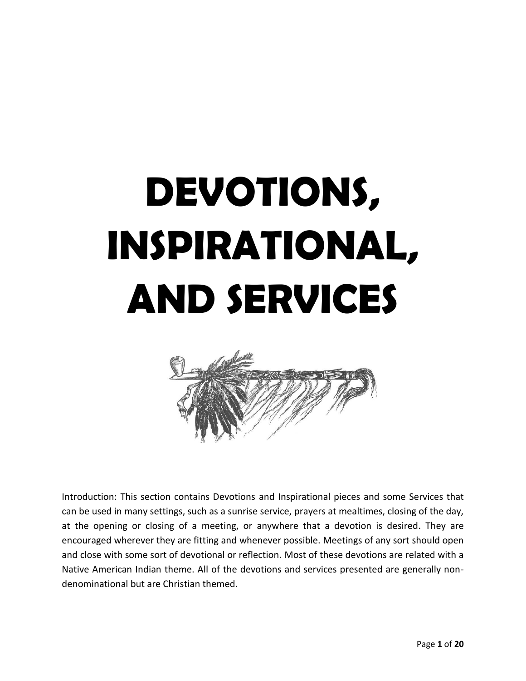# **DEVOTIONS, INSPIRATIONAL, AND SERVICES**



Introduction: This section contains Devotions and Inspirational pieces and some Services that can be used in many settings, such as a sunrise service, prayers at mealtimes, closing of the day, at the opening or closing of a meeting, or anywhere that a devotion is desired. They are encouraged wherever they are fitting and whenever possible. Meetings of any sort should open and close with some sort of devotional or reflection. Most of these devotions are related with a Native American Indian theme. All of the devotions and services presented are generally nondenominational but are Christian themed.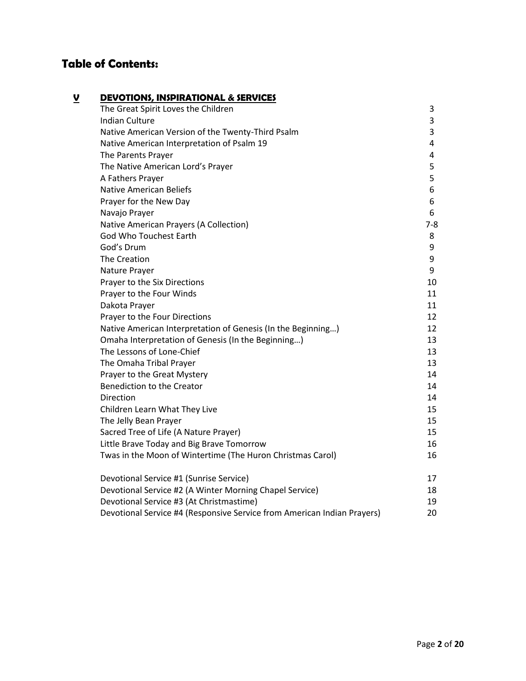## **Table of Contents:**

| <b>DEVOTIONS, INSPIRATIONAL &amp; SERVICES</b>                          |         |
|-------------------------------------------------------------------------|---------|
| The Great Spirit Loves the Children                                     | 3       |
| <b>Indian Culture</b>                                                   | 3       |
| Native American Version of the Twenty-Third Psalm                       | 3       |
| Native American Interpretation of Psalm 19                              | 4       |
| The Parents Prayer                                                      | 4       |
| The Native American Lord's Prayer                                       | 5       |
| A Fathers Prayer                                                        | 5       |
| <b>Native American Beliefs</b>                                          | 6       |
| Prayer for the New Day                                                  | 6       |
| Navajo Prayer                                                           | 6       |
| Native American Prayers (A Collection)                                  | $7 - 8$ |
| God Who Touchest Earth                                                  | 8       |
| God's Drum                                                              | 9       |
| The Creation                                                            | 9       |
| Nature Prayer                                                           | 9       |
| Prayer to the Six Directions                                            | 10      |
| Prayer to the Four Winds                                                | 11      |
| Dakota Prayer                                                           | 11      |
| Prayer to the Four Directions                                           | 12      |
| Native American Interpretation of Genesis (In the Beginning)            | 12      |
| Omaha Interpretation of Genesis (In the Beginning)                      | 13      |
| The Lessons of Lone-Chief                                               | 13      |
| The Omaha Tribal Prayer                                                 | 13      |
| Prayer to the Great Mystery                                             | 14      |
| <b>Benediction to the Creator</b>                                       | 14      |
| Direction                                                               | 14      |
| Children Learn What They Live                                           | 15      |
| The Jelly Bean Prayer                                                   | 15      |
| Sacred Tree of Life (A Nature Prayer)                                   | 15      |
| Little Brave Today and Big Brave Tomorrow                               | 16      |
| Twas in the Moon of Wintertime (The Huron Christmas Carol)              | 16      |
| Devotional Service #1 (Sunrise Service)                                 | 17      |
| Devotional Service #2 (A Winter Morning Chapel Service)                 | 18      |
| Devotional Service #3 (At Christmastime)                                | 19      |
| Devotional Service #4 (Responsive Service from American Indian Prayers) | 20      |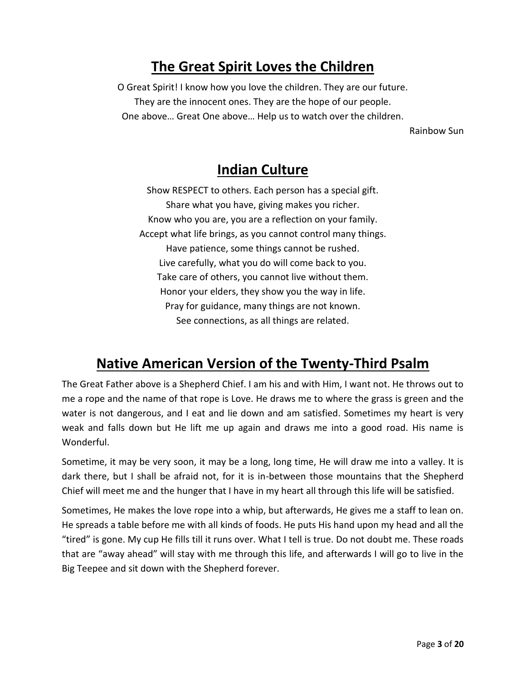## **The Great Spirit Loves the Children**

O Great Spirit! I know how you love the children. They are our future. They are the innocent ones. They are the hope of our people. One above… Great One above… Help us to watch over the children.

Rainbow Sun

# **Indian Culture**

Show RESPECT to others. Each person has a special gift. Share what you have, giving makes you richer. Know who you are, you are a reflection on your family. Accept what life brings, as you cannot control many things. Have patience, some things cannot be rushed. Live carefully, what you do will come back to you. Take care of others, you cannot live without them. Honor your elders, they show you the way in life. Pray for guidance, many things are not known. See connections, as all things are related.

# **Native American Version of the Twenty-Third Psalm**

The Great Father above is a Shepherd Chief. I am his and with Him, I want not. He throws out to me a rope and the name of that rope is Love. He draws me to where the grass is green and the water is not dangerous, and I eat and lie down and am satisfied. Sometimes my heart is very weak and falls down but He lift me up again and draws me into a good road. His name is Wonderful.

Sometime, it may be very soon, it may be a long, long time, He will draw me into a valley. It is dark there, but I shall be afraid not, for it is in-between those mountains that the Shepherd Chief will meet me and the hunger that I have in my heart all through this life will be satisfied.

Sometimes, He makes the love rope into a whip, but afterwards, He gives me a staff to lean on. He spreads a table before me with all kinds of foods. He puts His hand upon my head and all the "tired" is gone. My cup He fills till it runs over. What I tell is true. Do not doubt me. These roads that are "away ahead" will stay with me through this life, and afterwards I will go to live in the Big Teepee and sit down with the Shepherd forever.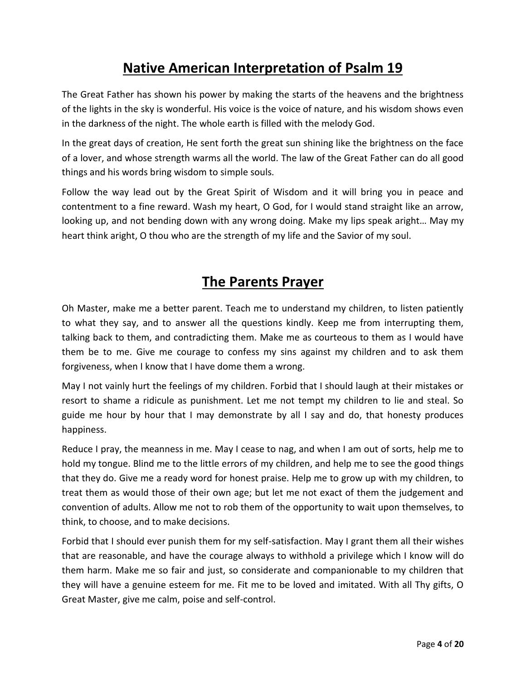# **Native American Interpretation of Psalm 19**

The Great Father has shown his power by making the starts of the heavens and the brightness of the lights in the sky is wonderful. His voice is the voice of nature, and his wisdom shows even in the darkness of the night. The whole earth is filled with the melody God.

In the great days of creation, He sent forth the great sun shining like the brightness on the face of a lover, and whose strength warms all the world. The law of the Great Father can do all good things and his words bring wisdom to simple souls.

Follow the way lead out by the Great Spirit of Wisdom and it will bring you in peace and contentment to a fine reward. Wash my heart, O God, for I would stand straight like an arrow, looking up, and not bending down with any wrong doing. Make my lips speak aright… May my heart think aright, O thou who are the strength of my life and the Savior of my soul.

## **The Parents Prayer**

Oh Master, make me a better parent. Teach me to understand my children, to listen patiently to what they say, and to answer all the questions kindly. Keep me from interrupting them, talking back to them, and contradicting them. Make me as courteous to them as I would have them be to me. Give me courage to confess my sins against my children and to ask them forgiveness, when I know that I have dome them a wrong.

May I not vainly hurt the feelings of my children. Forbid that I should laugh at their mistakes or resort to shame a ridicule as punishment. Let me not tempt my children to lie and steal. So guide me hour by hour that I may demonstrate by all I say and do, that honesty produces happiness.

Reduce I pray, the meanness in me. May I cease to nag, and when I am out of sorts, help me to hold my tongue. Blind me to the little errors of my children, and help me to see the good things that they do. Give me a ready word for honest praise. Help me to grow up with my children, to treat them as would those of their own age; but let me not exact of them the judgement and convention of adults. Allow me not to rob them of the opportunity to wait upon themselves, to think, to choose, and to make decisions.

Forbid that I should ever punish them for my self-satisfaction. May I grant them all their wishes that are reasonable, and have the courage always to withhold a privilege which I know will do them harm. Make me so fair and just, so considerate and companionable to my children that they will have a genuine esteem for me. Fit me to be loved and imitated. With all Thy gifts, O Great Master, give me calm, poise and self-control.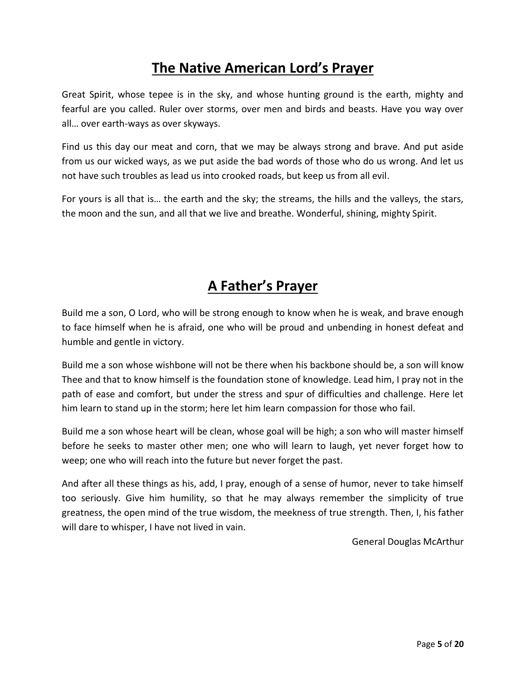# **The Native American Lord's Prayer**

Great Spirit, whose tepee is in the sky, and whose hunting ground is the earth, mighty and fearful are you called. Ruler over storms, over men and birds and beasts. Have you way over all… over earth-ways as over skyways.

Find us this day our meat and corn, that we may be always strong and brave. And put aside from us our wicked ways, as we put aside the bad words of those who do us wrong. And let us not have such troubles as lead us into crooked roads, but keep us from all evil.

For yours is all that is… the earth and the sky; the streams, the hills and the valleys, the stars, the moon and the sun, and all that we live and breathe. Wonderful, shining, mighty Spirit.

# **A Father's Prayer**

Build me a son, O Lord, who will be strong enough to know when he is weak, and brave enough to face himself when he is afraid, one who will be proud and unbending in honest defeat and humble and gentle in victory.

Build me a son whose wishbone will not be there when his backbone should be, a son will know Thee and that to know himself is the foundation stone of knowledge. Lead him, I pray not in the path of ease and comfort, but under the stress and spur of difficulties and challenge. Here let him learn to stand up in the storm; here let him learn compassion for those who fail.

Build me a son whose heart will be clean, whose goal will be high; a son who will master himself before he seeks to master other men; one who will learn to laugh, yet never forget how to weep; one who will reach into the future but never forget the past.

And after all these things as his, add, I pray, enough of a sense of humor, never to take himself too seriously. Give him humility, so that he may always remember the simplicity of true greatness, the open mind of the true wisdom, the meekness of true strength. Then, I, his father will dare to whisper, I have not lived in vain.

General Douglas McArthur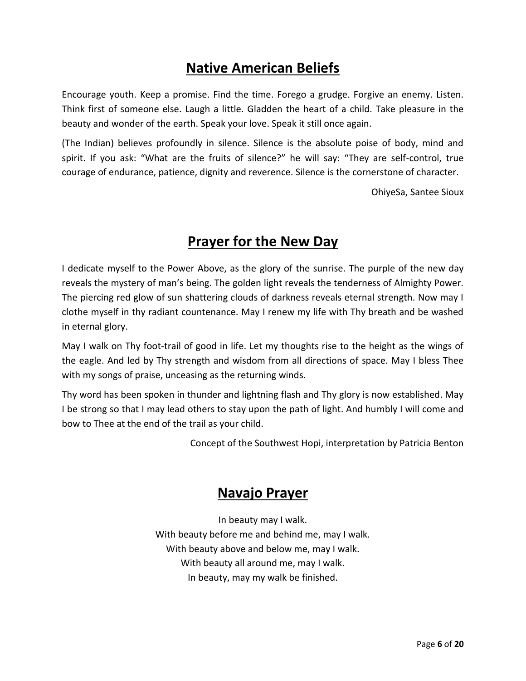## **Native American Beliefs**

Encourage youth. Keep a promise. Find the time. Forego a grudge. Forgive an enemy. Listen. Think first of someone else. Laugh a little. Gladden the heart of a child. Take pleasure in the beauty and wonder of the earth. Speak your love. Speak it still once again.

(The Indian) believes profoundly in silence. Silence is the absolute poise of body, mind and spirit. If you ask: "What are the fruits of silence?" he will say: "They are self-control, true courage of endurance, patience, dignity and reverence. Silence is the cornerstone of character.

OhiyeSa, Santee Sioux

## **Prayer for the New Day**

I dedicate myself to the Power Above, as the glory of the sunrise. The purple of the new day reveals the mystery of man's being. The golden light reveals the tenderness of Almighty Power. The piercing red glow of sun shattering clouds of darkness reveals eternal strength. Now may I clothe myself in thy radiant countenance. May I renew my life with Thy breath and be washed in eternal glory.

May I walk on Thy foot-trail of good in life. Let my thoughts rise to the height as the wings of the eagle. And led by Thy strength and wisdom from all directions of space. May I bless Thee with my songs of praise, unceasing as the returning winds.

Thy word has been spoken in thunder and lightning flash and Thy glory is now established. May I be strong so that I may lead others to stay upon the path of light. And humbly I will come and bow to Thee at the end of the trail as your child.

Concept of the Southwest Hopi, interpretation by Patricia Benton

## **Navajo Prayer**

In beauty may I walk. With beauty before me and behind me, may I walk. With beauty above and below me, may I walk. With beauty all around me, may I walk. In beauty, may my walk be finished.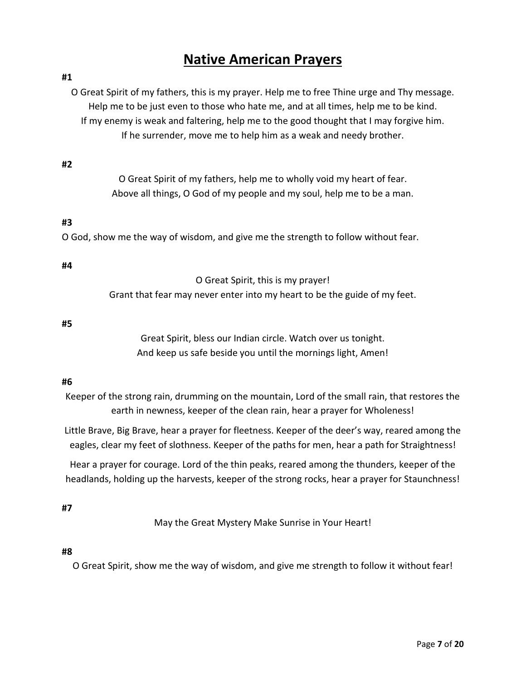## **Native American Prayers**

| #1                                                                                                                                                                                                                                                                                                                                                 |
|----------------------------------------------------------------------------------------------------------------------------------------------------------------------------------------------------------------------------------------------------------------------------------------------------------------------------------------------------|
| O Great Spirit of my fathers, this is my prayer. Help me to free Thine urge and Thy message.<br>Help me to be just even to those who hate me, and at all times, help me to be kind.<br>If my enemy is weak and faltering, help me to the good thought that I may forgive him.<br>If he surrender, move me to help him as a weak and needy brother. |
| #2                                                                                                                                                                                                                                                                                                                                                 |
| O Great Spirit of my fathers, help me to wholly void my heart of fear.                                                                                                                                                                                                                                                                             |
| Above all things, O God of my people and my soul, help me to be a man.                                                                                                                                                                                                                                                                             |
| #3                                                                                                                                                                                                                                                                                                                                                 |
| O God, show me the way of wisdom, and give me the strength to follow without fear.                                                                                                                                                                                                                                                                 |
| #4                                                                                                                                                                                                                                                                                                                                                 |
| O Great Spirit, this is my prayer!                                                                                                                                                                                                                                                                                                                 |
| Grant that fear may never enter into my heart to be the guide of my feet.                                                                                                                                                                                                                                                                          |
|                                                                                                                                                                                                                                                                                                                                                    |
| #5<br>Great Spirit, bless our Indian circle. Watch over us tonight.                                                                                                                                                                                                                                                                                |
| And keep us safe beside you until the mornings light, Amen!                                                                                                                                                                                                                                                                                        |
|                                                                                                                                                                                                                                                                                                                                                    |
| #6                                                                                                                                                                                                                                                                                                                                                 |
| Keeper of the strong rain, drumming on the mountain, Lord of the small rain, that restores the<br>earth in newness, keeper of the clean rain, hear a prayer for Wholeness!                                                                                                                                                                         |
| Little Brave, Big Brave, hear a prayer for fleetness. Keeper of the deer's way, reared among the                                                                                                                                                                                                                                                   |

eagles, clear my feet of slothness. Keeper of the paths for men, hear a path for Straightness!

Hear a prayer for courage. Lord of the thin peaks, reared among the thunders, keeper of the headlands, holding up the harvests, keeper of the strong rocks, hear a prayer for Staunchness!

## **#7**

May the Great Mystery Make Sunrise in Your Heart!

## **#8**

O Great Spirit, show me the way of wisdom, and give me strength to follow it without fear!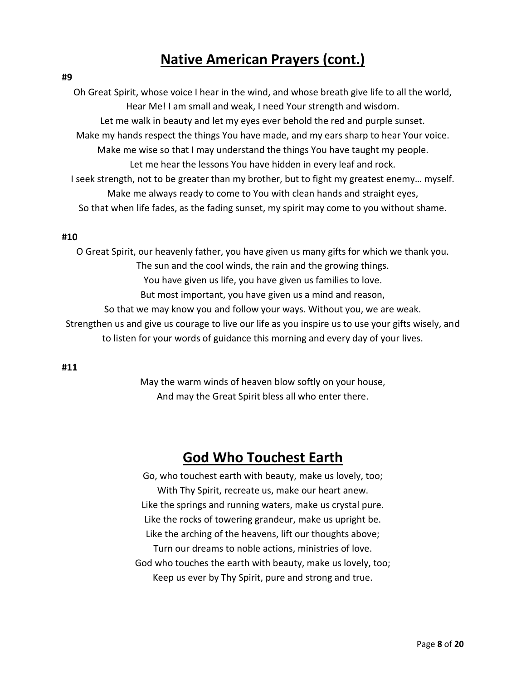# **Native American Prayers (cont.)**

#### **#9**

Oh Great Spirit, whose voice I hear in the wind, and whose breath give life to all the world, Hear Me! I am small and weak, I need Your strength and wisdom. Let me walk in beauty and let my eyes ever behold the red and purple sunset. Make my hands respect the things You have made, and my ears sharp to hear Your voice. Make me wise so that I may understand the things You have taught my people. Let me hear the lessons You have hidden in every leaf and rock. I seek strength, not to be greater than my brother, but to fight my greatest enemy… myself. Make me always ready to come to You with clean hands and straight eyes, So that when life fades, as the fading sunset, my spirit may come to you without shame.

#### **#10**

O Great Spirit, our heavenly father, you have given us many gifts for which we thank you. The sun and the cool winds, the rain and the growing things. You have given us life, you have given us families to love. But most important, you have given us a mind and reason, So that we may know you and follow your ways. Without you, we are weak. Strengthen us and give us courage to live our life as you inspire us to use your gifts wisely, and

to listen for your words of guidance this morning and every day of your lives.

#### **#11**

May the warm winds of heaven blow softly on your house, And may the Great Spirit bless all who enter there.

## **God Who Touchest Earth**

Go, who touchest earth with beauty, make us lovely, too; With Thy Spirit, recreate us, make our heart anew. Like the springs and running waters, make us crystal pure. Like the rocks of towering grandeur, make us upright be. Like the arching of the heavens, lift our thoughts above; Turn our dreams to noble actions, ministries of love. God who touches the earth with beauty, make us lovely, too; Keep us ever by Thy Spirit, pure and strong and true.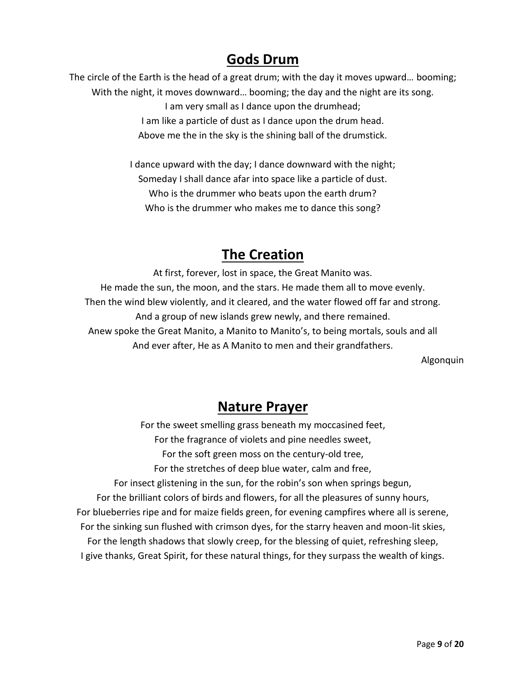## **Gods Drum**

The circle of the Earth is the head of a great drum; with the day it moves upward… booming; With the night, it moves downward… booming; the day and the night are its song. I am very small as I dance upon the drumhead; I am like a particle of dust as I dance upon the drum head. Above me the in the sky is the shining ball of the drumstick.

> I dance upward with the day; I dance downward with the night; Someday I shall dance afar into space like a particle of dust. Who is the drummer who beats upon the earth drum? Who is the drummer who makes me to dance this song?

# **The Creation**

At first, forever, lost in space, the Great Manito was. He made the sun, the moon, and the stars. He made them all to move evenly. Then the wind blew violently, and it cleared, and the water flowed off far and strong. And a group of new islands grew newly, and there remained. Anew spoke the Great Manito, a Manito to Manito's, to being mortals, souls and all And ever after, He as A Manito to men and their grandfathers.

Algonquin

# **Nature Prayer**

For the sweet smelling grass beneath my moccasined feet, For the fragrance of violets and pine needles sweet, For the soft green moss on the century-old tree, For the stretches of deep blue water, calm and free, For insect glistening in the sun, for the robin's son when springs begun, For the brilliant colors of birds and flowers, for all the pleasures of sunny hours, For blueberries ripe and for maize fields green, for evening campfires where all is serene, For the sinking sun flushed with crimson dyes, for the starry heaven and moon-lit skies, For the length shadows that slowly creep, for the blessing of quiet, refreshing sleep, I give thanks, Great Spirit, for these natural things, for they surpass the wealth of kings.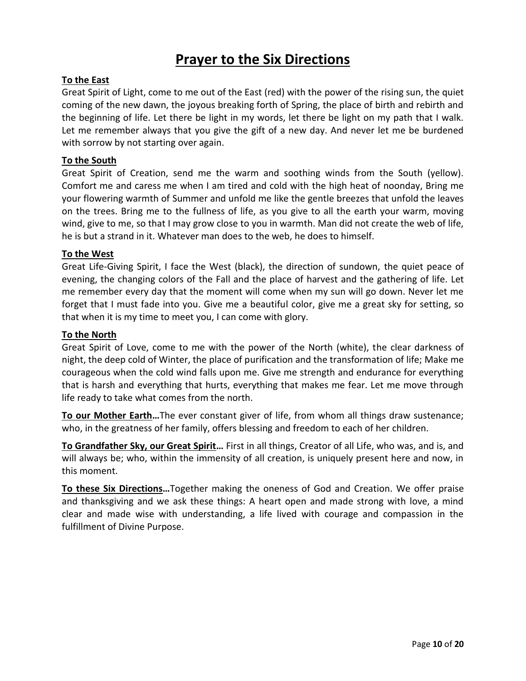## **Prayer to the Six Directions**

## **To the East**

Great Spirit of Light, come to me out of the East (red) with the power of the rising sun, the quiet coming of the new dawn, the joyous breaking forth of Spring, the place of birth and rebirth and the beginning of life. Let there be light in my words, let there be light on my path that I walk. Let me remember always that you give the gift of a new day. And never let me be burdened with sorrow by not starting over again.

## **To the South**

Great Spirit of Creation, send me the warm and soothing winds from the South (yellow). Comfort me and caress me when I am tired and cold with the high heat of noonday, Bring me your flowering warmth of Summer and unfold me like the gentle breezes that unfold the leaves on the trees. Bring me to the fullness of life, as you give to all the earth your warm, moving wind, give to me, so that I may grow close to you in warmth. Man did not create the web of life, he is but a strand in it. Whatever man does to the web, he does to himself.

## **To the West**

Great Life-Giving Spirit, I face the West (black), the direction of sundown, the quiet peace of evening, the changing colors of the Fall and the place of harvest and the gathering of life. Let me remember every day that the moment will come when my sun will go down. Never let me forget that I must fade into you. Give me a beautiful color, give me a great sky for setting, so that when it is my time to meet you, I can come with glory.

## **To the North**

Great Spirit of Love, come to me with the power of the North (white), the clear darkness of night, the deep cold of Winter, the place of purification and the transformation of life; Make me courageous when the cold wind falls upon me. Give me strength and endurance for everything that is harsh and everything that hurts, everything that makes me fear. Let me move through life ready to take what comes from the north.

**To our Mother Earth…**The ever constant giver of life, from whom all things draw sustenance; who, in the greatness of her family, offers blessing and freedom to each of her children.

**To Grandfather Sky, our Great Spirit…** First in all things, Creator of all Life, who was, and is, and will always be; who, within the immensity of all creation, is uniquely present here and now, in this moment.

**To these Six Directions…**Together making the oneness of God and Creation. We offer praise and thanksgiving and we ask these things: A heart open and made strong with love, a mind clear and made wise with understanding, a life lived with courage and compassion in the fulfillment of Divine Purpose.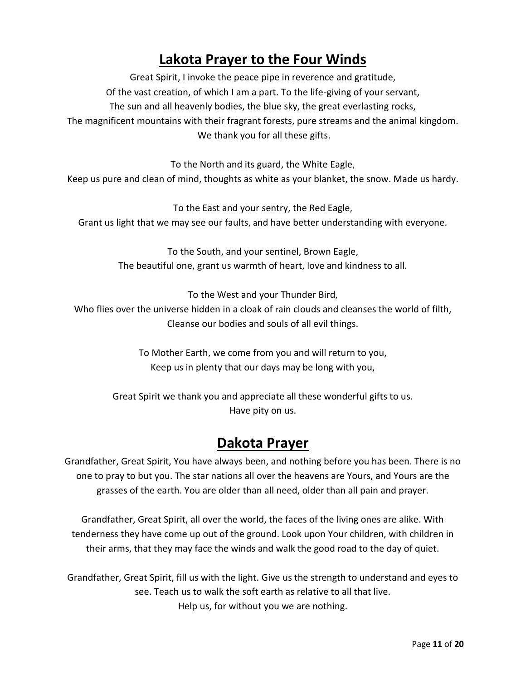# **Lakota Prayer to the Four Winds**

Great Spirit, I invoke the peace pipe in reverence and gratitude, Of the vast creation, of which I am a part. To the life-giving of your servant, The sun and all heavenly bodies, the blue sky, the great everlasting rocks, The magnificent mountains with their fragrant forests, pure streams and the animal kingdom. We thank you for all these gifts.

To the North and its guard, the White Eagle, Keep us pure and clean of mind, thoughts as white as your blanket, the snow. Made us hardy.

To the East and your sentry, the Red Eagle, Grant us light that we may see our faults, and have better understanding with everyone.

> To the South, and your sentinel, Brown Eagle, The beautiful one, grant us warmth of heart, love and kindness to all.

> > To the West and your Thunder Bird,

Who flies over the universe hidden in a cloak of rain clouds and cleanses the world of filth, Cleanse our bodies and souls of all evil things.

> To Mother Earth, we come from you and will return to you, Keep us in plenty that our days may be long with you,

Great Spirit we thank you and appreciate all these wonderful gifts to us. Have pity on us.

## **Dakota Prayer**

Grandfather, Great Spirit, You have always been, and nothing before you has been. There is no one to pray to but you. The star nations all over the heavens are Yours, and Yours are the grasses of the earth. You are older than all need, older than all pain and prayer.

Grandfather, Great Spirit, all over the world, the faces of the living ones are alike. With tenderness they have come up out of the ground. Look upon Your children, with children in their arms, that they may face the winds and walk the good road to the day of quiet.

Grandfather, Great Spirit, fill us with the light. Give us the strength to understand and eyes to see. Teach us to walk the soft earth as relative to all that live. Help us, for without you we are nothing.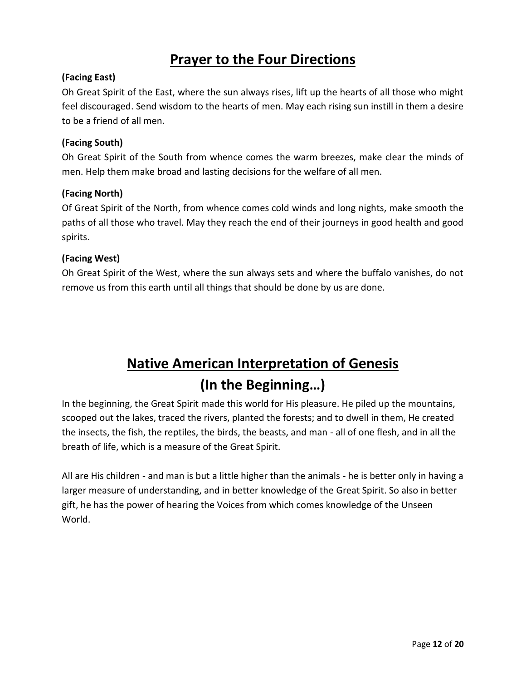# **Prayer to the Four Directions**

## **(Facing East)**

Oh Great Spirit of the East, where the sun always rises, lift up the hearts of all those who might feel discouraged. Send wisdom to the hearts of men. May each rising sun instill in them a desire to be a friend of all men.

## **(Facing South)**

Oh Great Spirit of the South from whence comes the warm breezes, make clear the minds of men. Help them make broad and lasting decisions for the welfare of all men.

## **(Facing North)**

Of Great Spirit of the North, from whence comes cold winds and long nights, make smooth the paths of all those who travel. May they reach the end of their journeys in good health and good spirits.

## **(Facing West)**

Oh Great Spirit of the West, where the sun always sets and where the buffalo vanishes, do not remove us from this earth until all things that should be done by us are done.

# **Native American Interpretation of Genesis (In the Beginning…)**

In the beginning, the Great Spirit made this world for His pleasure. He piled up the mountains, scooped out the lakes, traced the rivers, planted the forests; and to dwell in them, He created the insects, the fish, the reptiles, the birds, the beasts, and man - all of one flesh, and in all the breath of life, which is a measure of the Great Spirit.

All are His children - and man is but a little higher than the animals - he is better only in having a larger measure of understanding, and in better knowledge of the Great Spirit. So also in better gift, he has the power of hearing the Voices from which comes knowledge of the Unseen World.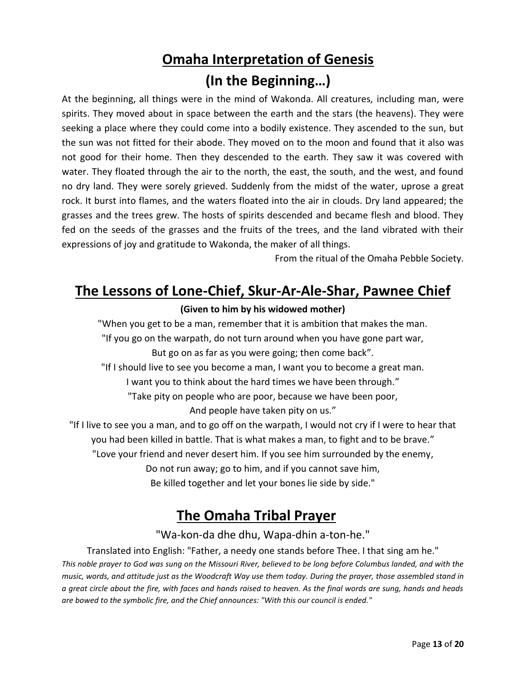# **Omaha Interpretation of Genesis (In the Beginning…)**

At the beginning, all things were in the mind of Wakonda. All creatures, including man, were spirits. They moved about in space between the earth and the stars (the heavens). They were seeking a place where they could come into a bodily existence. They ascended to the sun, but the sun was not fitted for their abode. They moved on to the moon and found that it also was not good for their home. Then they descended to the earth. They saw it was covered with water. They floated through the air to the north, the east, the south, and the west, and found no dry land. They were sorely grieved. Suddenly from the midst of the water, uprose a great rock. It burst into flames, and the waters floated into the air in clouds. Dry land appeared; the grasses and the trees grew. The hosts of spirits descended and became flesh and blood. They fed on the seeds of the grasses and the fruits of the trees, and the land vibrated with their expressions of joy and gratitude to Wakonda, the maker of all things.

From the ritual of the Omaha Pebble Society.

# **The Lessons of Lone-Chief, Skur-Ar-Ale-Shar, Pawnee Chief**

## **(Given to him by his widowed mother)**

"When you get to be a man, remember that it is ambition that makes the man.

"If you go on the warpath, do not turn around when you have gone part war, But go on as far as you were going; then come back".

"If I should live to see you become a man, I want you to become a great man. I want you to think about the hard times we have been through."

"Take pity on people who are poor, because we have been poor,

And people have taken pity on us."

"If I live to see you a man, and to go off on the warpath, I would not cry if I were to hear that you had been killed in battle. That is what makes a man, to fight and to be brave." "Love your friend and never desert him. If you see him surrounded by the enemy,

Do not run away; go to him, and if you cannot save him,

Be killed together and let your bones lie side by side."

# **The Omaha Tribal Prayer**

"Wa-kon-da dhe dhu, Wapa-dhin a-ton-he."

Translated into English: "Father, a needy one stands before Thee. I that sing am he." *This noble prayer to God was sung on the Missouri River, believed to be long before Columbus landed, and with the music, words, and attitude just as the Woodcraft Way use them today. During the prayer, those assembled stand in a great circle about the fire, with faces and hands raised to heaven. As the final words are sung, hands and heads are bowed to the symbolic fire, and the Chief announces: "With this our council is ended."*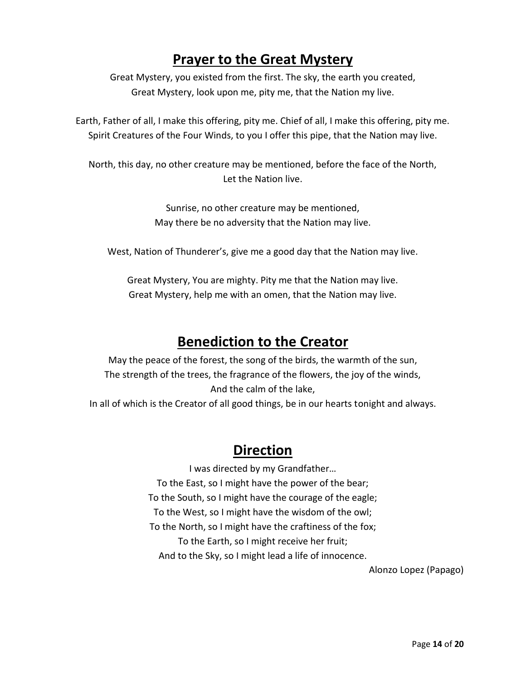## **Prayer to the Great Mystery**

Great Mystery, you existed from the first. The sky, the earth you created, Great Mystery, look upon me, pity me, that the Nation my live.

Earth, Father of all, I make this offering, pity me. Chief of all, I make this offering, pity me. Spirit Creatures of the Four Winds, to you I offer this pipe, that the Nation may live.

North, this day, no other creature may be mentioned, before the face of the North, Let the Nation live.

> Sunrise, no other creature may be mentioned, May there be no adversity that the Nation may live.

West, Nation of Thunderer's, give me a good day that the Nation may live.

Great Mystery, You are mighty. Pity me that the Nation may live. Great Mystery, help me with an omen, that the Nation may live.

# **Benediction to the Creator**

May the peace of the forest, the song of the birds, the warmth of the sun, The strength of the trees, the fragrance of the flowers, the joy of the winds, And the calm of the lake,

In all of which is the Creator of all good things, be in our hearts tonight and always.

## **Direction**

I was directed by my Grandfather… To the East, so I might have the power of the bear; To the South, so I might have the courage of the eagle; To the West, so I might have the wisdom of the owl; To the North, so I might have the craftiness of the fox; To the Earth, so I might receive her fruit; And to the Sky, so I might lead a life of innocence.

Alonzo Lopez (Papago)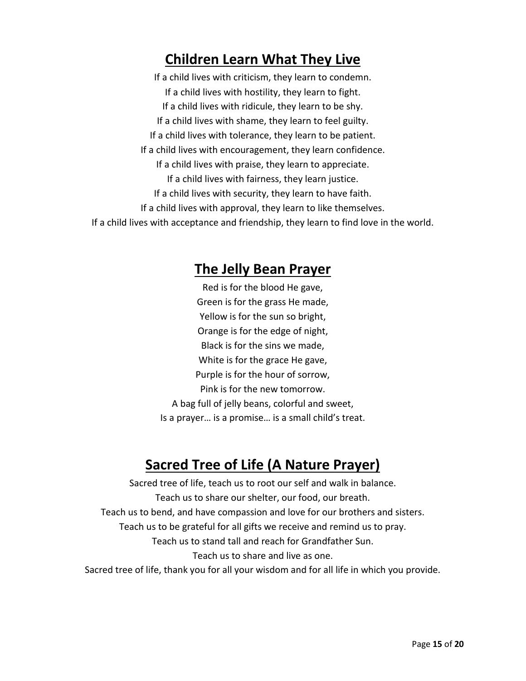# **Children Learn What They Live**

If a child lives with criticism, they learn to condemn. If a child lives with hostility, they learn to fight. If a child lives with ridicule, they learn to be shy. If a child lives with shame, they learn to feel guilty. If a child lives with tolerance, they learn to be patient. If a child lives with encouragement, they learn confidence. If a child lives with praise, they learn to appreciate. If a child lives with fairness, they learn justice. If a child lives with security, they learn to have faith. If a child lives with approval, they learn to like themselves. If a child lives with acceptance and friendship, they learn to find love in the world.

## **The Jelly Bean Prayer**

Red is for the blood He gave, Green is for the grass He made, Yellow is for the sun so bright, Orange is for the edge of night, Black is for the sins we made, White is for the grace He gave, Purple is for the hour of sorrow, Pink is for the new tomorrow. A bag full of jelly beans, colorful and sweet, Is a prayer… is a promise… is a small child's treat.

# **Sacred Tree of Life (A Nature Prayer)**

Sacred tree of life, teach us to root our self and walk in balance. Teach us to share our shelter, our food, our breath. Teach us to bend, and have compassion and love for our brothers and sisters. Teach us to be grateful for all gifts we receive and remind us to pray. Teach us to stand tall and reach for Grandfather Sun. Teach us to share and live as one. Sacred tree of life, thank you for all your wisdom and for all life in which you provide.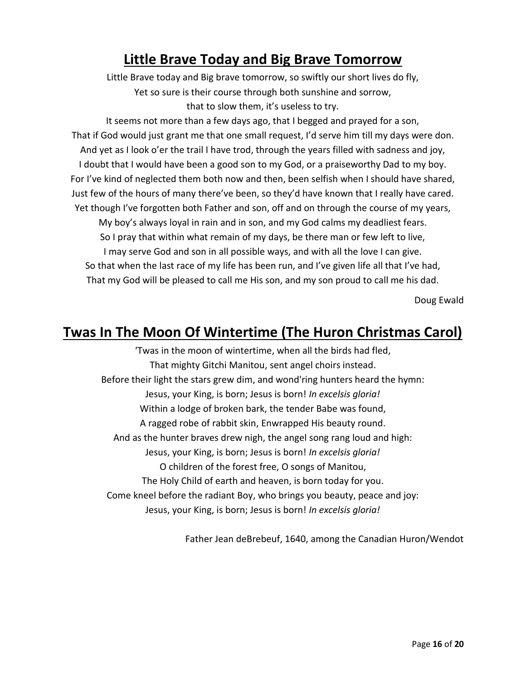## **Little Brave Today and Big Brave Tomorrow**

Little Brave today and Big brave tomorrow, so swiftly our short lives do fly, Yet so sure is their course through both sunshine and sorrow, that to slow them, it's useless to try.

It seems not more than a few days ago, that I begged and prayed for a son, That if God would just grant me that one small request, I'd serve him till my days were don. And yet as I look o'er the trail I have trod, through the years filled with sadness and joy, I doubt that I would have been a good son to my God, or a praiseworthy Dad to my boy. For I've kind of neglected them both now and then, been selfish when I should have shared, Just few of the hours of many there've been, so they'd have known that I really have cared. Yet though I've forgotten both Father and son, off and on through the course of my years, My boy's always loyal in rain and in son, and my God calms my deadliest fears. So I pray that within what remain of my days, be there man or few left to live, I may serve God and son in all possible ways, and with all the love I can give. So that when the last race of my life has been run, and I've given life all that I've had, That my God will be pleased to call me His son, and my son proud to call me his dad.

Doug Ewald

## **Twas In The Moon Of Wintertime (The Huron Christmas Carol)**

'Twas in the moon of wintertime, when all the birds had fled, That mighty Gitchi Manitou, sent angel choirs instead. Before their light the stars grew dim, and wond'ring hunters heard the hymn: Jesus, your King, is born; Jesus is born! *In excelsis gloria!* Within a lodge of broken bark, the tender Babe was found, A ragged robe of rabbit skin, Enwrapped His beauty round. And as the hunter braves drew nigh, the angel song rang loud and high: Jesus, your King, is born; Jesus is born! *In excelsis gloria!* O children of the forest free, O songs of Manitou, The Holy Child of earth and heaven, is born today for you. Come kneel before the radiant Boy, who brings you beauty, peace and joy: Jesus, your King, is born; Jesus is born! *In excelsis gloria!*

Father Jean deBrebeuf, 1640, among the Canadian Huron/Wendot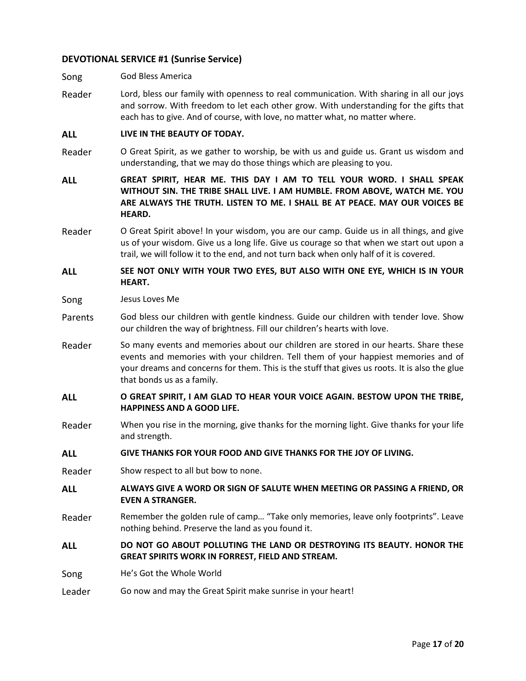#### **DEVOTIONAL SERVICE #1 (Sunrise Service)**

Song God Bless America

Reader Lord, bless our family with openness to real communication. With sharing in all our joys and sorrow. With freedom to let each other grow. With understanding for the gifts that each has to give. And of course, with love, no matter what, no matter where.

#### **ALL LIVE IN THE BEAUTY OF TODAY.**

- Reader O Great Spirit, as we gather to worship, be with us and guide us. Grant us wisdom and understanding, that we may do those things which are pleasing to you.
- **ALL GREAT SPIRIT, HEAR ME. THIS DAY I AM TO TELL YOUR WORD. I SHALL SPEAK WITHOUT SIN. THE TRIBE SHALL LIVE. I AM HUMBLE. FROM ABOVE, WATCH ME. YOU ARE ALWAYS THE TRUTH. LISTEN TO ME. I SHALL BE AT PEACE. MAY OUR VOICES BE HEARD.**
- Reader O Great Spirit above! In your wisdom, you are our camp. Guide us in all things, and give us of your wisdom. Give us a long life. Give us courage so that when we start out upon a trail, we will follow it to the end, and not turn back when only half of it is covered.

#### **ALL SEE NOT ONLY WITH YOUR TWO EYES, BUT ALSO WITH ONE EYE, WHICH IS IN YOUR HEART.**

Song Jesus Loves Me

- Parents God bless our children with gentle kindness. Guide our children with tender love. Show our children the way of brightness. Fill our children's hearts with love.
- Reader So many events and memories about our children are stored in our hearts. Share these events and memories with your children. Tell them of your happiest memories and of your dreams and concerns for them. This is the stuff that gives us roots. It is also the glue that bonds us as a family.

#### **ALL O GREAT SPIRIT, I AM GLAD TO HEAR YOUR VOICE AGAIN. BESTOW UPON THE TRIBE, HAPPINESS AND A GOOD LIFE.**

Reader When you rise in the morning, give thanks for the morning light. Give thanks for your life and strength.

#### **ALL GIVE THANKS FOR YOUR FOOD AND GIVE THANKS FOR THE JOY OF LIVING.**

- Reader Show respect to all but bow to none.
- **ALL ALWAYS GIVE A WORD OR SIGN OF SALUTE WHEN MEETING OR PASSING A FRIEND, OR EVEN A STRANGER.**
- Reader Remember the golden rule of camp... "Take only memories, leave only footprints". Leave nothing behind. Preserve the land as you found it.

#### **ALL DO NOT GO ABOUT POLLUTING THE LAND OR DESTROYING ITS BEAUTY. HONOR THE GREAT SPIRITS WORK IN FORREST, FIELD AND STREAM.**

- Song He's Got the Whole World
- Leader Go now and may the Great Spirit make sunrise in your heart!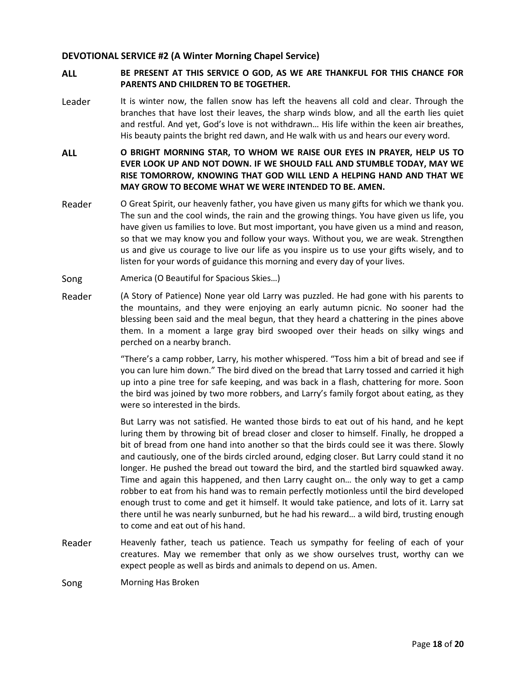#### **DEVOTIONAL SERVICE #2 (A Winter Morning Chapel Service)**

#### **ALL BE PRESENT AT THIS SERVICE O GOD, AS WE ARE THANKFUL FOR THIS CHANCE FOR PARENTS AND CHILDREN TO BE TOGETHER.**

- Leader It is winter now, the fallen snow has left the heavens all cold and clear. Through the branches that have lost their leaves, the sharp winds blow, and all the earth lies quiet and restful. And yet, God's love is not withdrawn… His life within the keen air breathes, His beauty paints the bright red dawn, and He walk with us and hears our every word.
- **ALL O BRIGHT MORNING STAR, TO WHOM WE RAISE OUR EYES IN PRAYER, HELP US TO EVER LOOK UP AND NOT DOWN. IF WE SHOULD FALL AND STUMBLE TODAY, MAY WE RISE TOMORROW, KNOWING THAT GOD WILL LEND A HELPING HAND AND THAT WE MAY GROW TO BECOME WHAT WE WERE INTENDED TO BE. AMEN.**
- Reader O Great Spirit, our heavenly father, you have given us many gifts for which we thank you. The sun and the cool winds, the rain and the growing things. You have given us life, you have given us families to love. But most important, you have given us a mind and reason, so that we may know you and follow your ways. Without you, we are weak. Strengthen us and give us courage to live our life as you inspire us to use your gifts wisely, and to listen for your words of guidance this morning and every day of your lives.
- Song Mamerica (O Beautiful for Spacious Skies...)
- Reader (A Story of Patience) None year old Larry was puzzled. He had gone with his parents to the mountains, and they were enjoying an early autumn picnic. No sooner had the blessing been said and the meal begun, that they heard a chattering in the pines above them. In a moment a large gray bird swooped over their heads on silky wings and perched on a nearby branch.

"There's a camp robber, Larry, his mother whispered. "Toss him a bit of bread and see if you can lure him down." The bird dived on the bread that Larry tossed and carried it high up into a pine tree for safe keeping, and was back in a flash, chattering for more. Soon the bird was joined by two more robbers, and Larry's family forgot about eating, as they were so interested in the birds.

But Larry was not satisfied. He wanted those birds to eat out of his hand, and he kept luring them by throwing bit of bread closer and closer to himself. Finally, he dropped a bit of bread from one hand into another so that the birds could see it was there. Slowly and cautiously, one of the birds circled around, edging closer. But Larry could stand it no longer. He pushed the bread out toward the bird, and the startled bird squawked away. Time and again this happened, and then Larry caught on… the only way to get a camp robber to eat from his hand was to remain perfectly motionless until the bird developed enough trust to come and get it himself. It would take patience, and lots of it. Larry sat there until he was nearly sunburned, but he had his reward… a wild bird, trusting enough to come and eat out of his hand.

Reader Heavenly father, teach us patience. Teach us sympathy for feeling of each of your creatures. May we remember that only as we show ourselves trust, worthy can we expect people as well as birds and animals to depend on us. Amen.

Song Morning Has Broken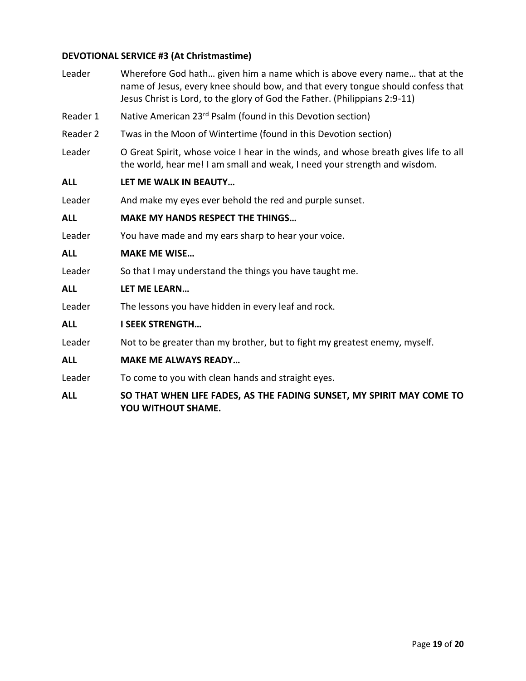## **DEVOTIONAL SERVICE #3 (At Christmastime)**

| Leader     | Wherefore God hath given him a name which is above every name that at the<br>name of Jesus, every knee should bow, and that every tongue should confess that<br>Jesus Christ is Lord, to the glory of God the Father. (Philippians 2:9-11) |
|------------|--------------------------------------------------------------------------------------------------------------------------------------------------------------------------------------------------------------------------------------------|
| Reader 1   | Native American 23 <sup>rd</sup> Psalm (found in this Devotion section)                                                                                                                                                                    |
| Reader 2   | Twas in the Moon of Wintertime (found in this Devotion section)                                                                                                                                                                            |
| Leader     | O Great Spirit, whose voice I hear in the winds, and whose breath gives life to all<br>the world, hear me! I am small and weak, I need your strength and wisdom.                                                                           |
| ALL        | LET ME WALK IN BEAUTY                                                                                                                                                                                                                      |
| Leader     | And make my eyes ever behold the red and purple sunset.                                                                                                                                                                                    |
| <b>ALL</b> | <b>MAKE MY HANDS RESPECT THE THINGS</b>                                                                                                                                                                                                    |
| Leader     | You have made and my ears sharp to hear your voice.                                                                                                                                                                                        |
| <b>ALL</b> | <b>MAKE ME WISE</b>                                                                                                                                                                                                                        |
| Leader     | So that I may understand the things you have taught me.                                                                                                                                                                                    |
| <b>ALL</b> | LET ME LEARN                                                                                                                                                                                                                               |
| Leader     | The lessons you have hidden in every leaf and rock.                                                                                                                                                                                        |
| <b>ALL</b> | <b>I SEEK STRENGTH</b>                                                                                                                                                                                                                     |
| Leader     | Not to be greater than my brother, but to fight my greatest enemy, myself.                                                                                                                                                                 |
| ALL        | <b>MAKE ME ALWAYS READY</b>                                                                                                                                                                                                                |
| Leader     | To come to you with clean hands and straight eyes.                                                                                                                                                                                         |
|            |                                                                                                                                                                                                                                            |

**ALL SO THAT WHEN LIFE FADES, AS THE FADING SUNSET, MY SPIRIT MAY COME TO YOU WITHOUT SHAME.**